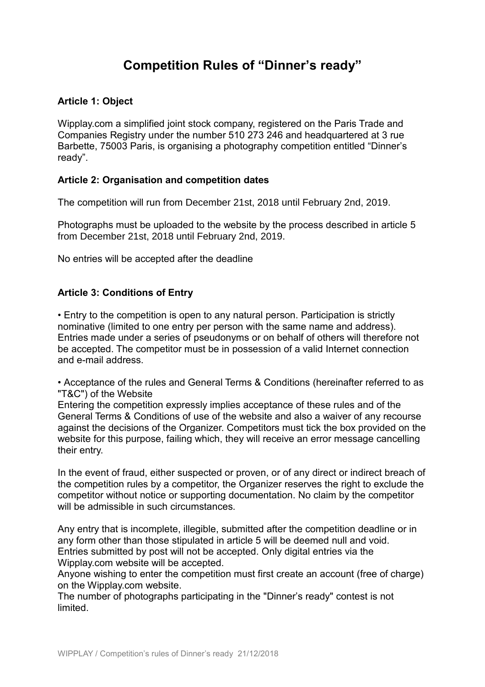# **Competition Rules of "Dinner's ready"**

# **Article 1: Object**

Wipplay.com a simplified joint stock company, registered on the Paris Trade and Companies Registry under the number 510 273 246 and headquartered at 3 rue Barbette, 75003 Paris, is organising a photography competition entitled "Dinner's ready".

## **Article 2: Organisation and competition dates**

The competition will run from December 21st, 2018 until February 2nd, 2019.

Photographs must be uploaded to the website by the process described in article 5 from December 21st, 2018 until February 2nd, 2019.

No entries will be accepted after the deadline

## **Article 3: Conditions of Entry**

• Entry to the competition is open to any natural person. Participation is strictly nominative (limited to one entry per person with the same name and address). Entries made under a series of pseudonyms or on behalf of others will therefore not be accepted. The competitor must be in possession of a valid Internet connection and e-mail address.

• Acceptance of the rules and General Terms & Conditions (hereinafter referred to as "T&C") of the Website

Entering the competition expressly implies acceptance of these rules and of the General Terms & Conditions of use of the website and also a waiver of any recourse against the decisions of the Organizer. Competitors must tick the box provided on the website for this purpose, failing which, they will receive an error message cancelling their entry.

In the event of fraud, either suspected or proven, or of any direct or indirect breach of the competition rules by a competitor, the Organizer reserves the right to exclude the competitor without notice or supporting documentation. No claim by the competitor will be admissible in such circumstances.

Any entry that is incomplete, illegible, submitted after the competition deadline or in any form other than those stipulated in article 5 will be deemed null and void. Entries submitted by post will not be accepted. Only digital entries via the Wipplay.com website will be accepted.

Anyone wishing to enter the competition must first create an account (free of charge) on the Wipplay.com website.

The number of photographs participating in the "Dinner's ready" contest is not limited.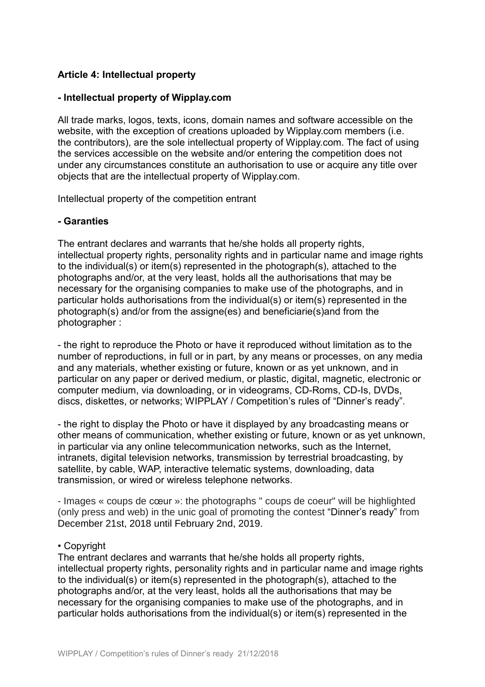# **Article 4: Intellectual property**

# **- Intellectual property of Wipplay.com**

All trade marks, logos, texts, icons, domain names and software accessible on the website, with the exception of creations uploaded by Wipplay.com members (i.e. the contributors), are the sole intellectual property of Wipplay.com. The fact of using the services accessible on the website and/or entering the competition does not under any circumstances constitute an authorisation to use or acquire any title over objects that are the intellectual property of Wipplay.com.

Intellectual property of the competition entrant

## **- Garanties**

The entrant declares and warrants that he/she holds all property rights, intellectual property rights, personality rights and in particular name and image rights to the individual(s) or item(s) represented in the photograph(s), attached to the photographs and/or, at the very least, holds all the authorisations that may be necessary for the organising companies to make use of the photographs, and in particular holds authorisations from the individual(s) or item(s) represented in the photograph(s) and/or from the assigne(es) and beneficiarie(s)and from the photographer :

- the right to reproduce the Photo or have it reproduced without limitation as to the number of reproductions, in full or in part, by any means or processes, on any media and any materials, whether existing or future, known or as yet unknown, and in particular on any paper or derived medium, or plastic, digital, magnetic, electronic or computer medium, via downloading, or in videograms, CD-Roms, CD-Is, DVDs, discs, diskettes, or networks; WIPPLAY / Competition's rules of "Dinner's ready".

- the right to display the Photo or have it displayed by any broadcasting means or other means of communication, whether existing or future, known or as yet unknown, in particular via any online telecommunication networks, such as the Internet, intranets, digital television networks, transmission by terrestrial broadcasting, by satellite, by cable, WAP, interactive telematic systems, downloading, data transmission, or wired or wireless telephone networks.

- Images « coups de cœur »: the photographs " coups de coeur" will be highlighted (only press and web) in the unic goal of promoting the contest "Dinner's ready" from December 21st, 2018 until February 2nd, 2019.

## • Copyright

The entrant declares and warrants that he/she holds all property rights, intellectual property rights, personality rights and in particular name and image rights to the individual(s) or item(s) represented in the photograph(s), attached to the photographs and/or, at the very least, holds all the authorisations that may be necessary for the organising companies to make use of the photographs, and in particular holds authorisations from the individual(s) or item(s) represented in the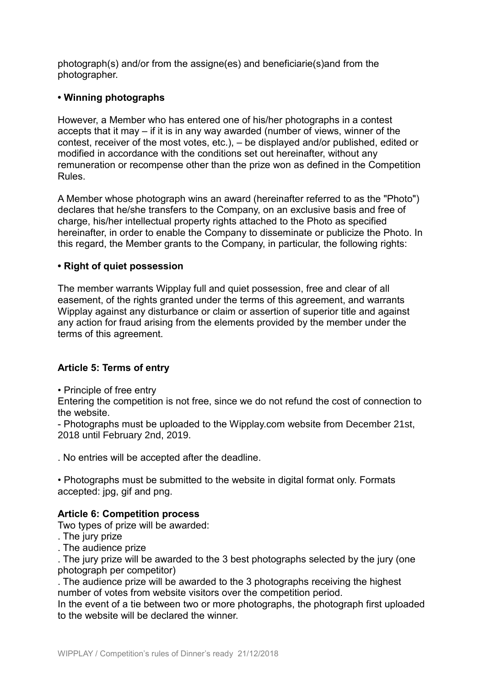photograph(s) and/or from the assigne(es) and beneficiarie(s)and from the photographer.

# **• Winning photographs**

However, a Member who has entered one of his/her photographs in a contest accepts that it may – if it is in any way awarded (number of views, winner of the contest, receiver of the most votes, etc.), – be displayed and/or published, edited or modified in accordance with the conditions set out hereinafter, without any remuneration or recompense other than the prize won as defined in the Competition Rules.

A Member whose photograph wins an award (hereinafter referred to as the "Photo") declares that he/she transfers to the Company, on an exclusive basis and free of charge, his/her intellectual property rights attached to the Photo as specified hereinafter, in order to enable the Company to disseminate or publicize the Photo. In this regard, the Member grants to the Company, in particular, the following rights:

# **• Right of quiet possession**

The member warrants Wipplay full and quiet possession, free and clear of all easement, of the rights granted under the terms of this agreement, and warrants Wipplay against any disturbance or claim or assertion of superior title and against any action for fraud arising from the elements provided by the member under the terms of this agreement.

# **Article 5: Terms of entry**

• Principle of free entry

Entering the competition is not free, since we do not refund the cost of connection to the website.

- Photographs must be uploaded to the Wipplay.com website from December 21st, 2018 until February 2nd, 2019.

. No entries will be accepted after the deadline.

• Photographs must be submitted to the website in digital format only. Formats accepted: jpg, gif and png.

# **Article 6: Competition process**

Two types of prize will be awarded:

- . The jury prize
- . The audience prize

. The jury prize will be awarded to the 3 best photographs selected by the jury (one photograph per competitor)

. The audience prize will be awarded to the 3 photographs receiving the highest number of votes from website visitors over the competition period.

In the event of a tie between two or more photographs, the photograph first uploaded to the website will be declared the winner.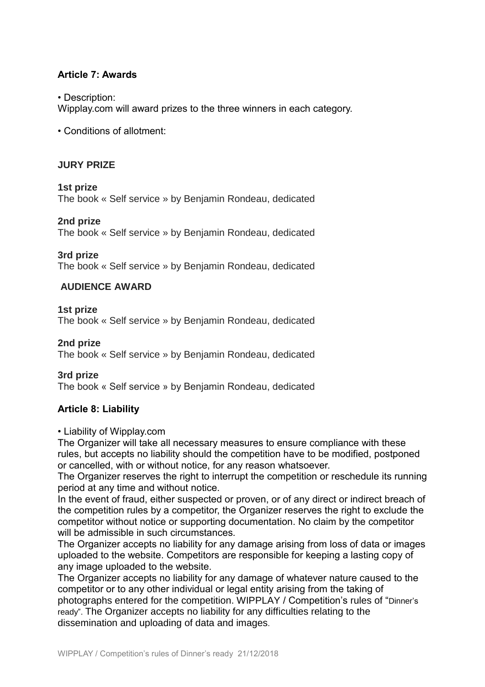# **Article 7: Awards**

#### • Description:

Wipplay.com will award prizes to the three winners in each category.

• Conditions of allotment:

## **JURY PRIZE**

**1st prize** The book « Self service » by Benjamin Rondeau, dedicated

#### **2nd prize**

The book « Self service » by Benjamin Rondeau, dedicated

#### **3rd prize**

The book « Self service » by Benjamin Rondeau, dedicated

#### **AUDIENCE AWARD**

#### **1st prize**

The book « Self service » by Benjamin Rondeau, dedicated

#### **2nd prize**

The book « Self service » by Benjamin Rondeau, dedicated

#### **3rd prize**

The book « Self service » by Benjamin Rondeau, dedicated

## **Article 8: Liability**

#### • Liability of Wipplay.com

The Organizer will take all necessary measures to ensure compliance with these rules, but accepts no liability should the competition have to be modified, postponed or cancelled, with or without notice, for any reason whatsoever.

The Organizer reserves the right to interrupt the competition or reschedule its running period at any time and without notice.

In the event of fraud, either suspected or proven, or of any direct or indirect breach of the competition rules by a competitor, the Organizer reserves the right to exclude the competitor without notice or supporting documentation. No claim by the competitor will be admissible in such circumstances.

The Organizer accepts no liability for any damage arising from loss of data or images uploaded to the website. Competitors are responsible for keeping a lasting copy of any image uploaded to the website.

The Organizer accepts no liability for any damage of whatever nature caused to the competitor or to any other individual or legal entity arising from the taking of photographs entered for the competition. WIPPLAY / Competition's rules of "Dinner's ready". The Organizer accepts no liability for any difficulties relating to the dissemination and uploading of data and images.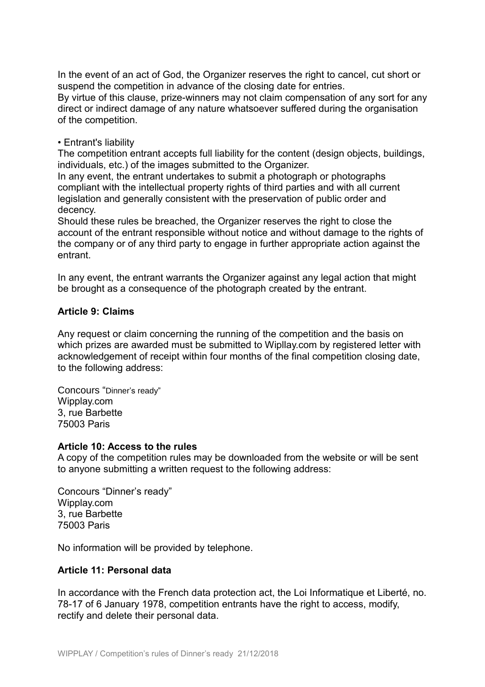In the event of an act of God, the Organizer reserves the right to cancel, cut short or suspend the competition in advance of the closing date for entries.

By virtue of this clause, prize-winners may not claim compensation of any sort for any direct or indirect damage of any nature whatsoever suffered during the organisation of the competition.

# • Entrant's liability

The competition entrant accepts full liability for the content (design objects, buildings, individuals, etc.) of the images submitted to the Organizer.

In any event, the entrant undertakes to submit a photograph or photographs compliant with the intellectual property rights of third parties and with all current legislation and generally consistent with the preservation of public order and decency.

Should these rules be breached, the Organizer reserves the right to close the account of the entrant responsible without notice and without damage to the rights of the company or of any third party to engage in further appropriate action against the entrant.

In any event, the entrant warrants the Organizer against any legal action that might be brought as a consequence of the photograph created by the entrant.

# **Article 9: Claims**

Any request or claim concerning the running of the competition and the basis on which prizes are awarded must be submitted to Wipllay.com by registered letter with acknowledgement of receipt within four months of the final competition closing date, to the following address:

Concours "Dinner's ready" Wipplay.com 3, rue Barbette 75003 Paris

## **Article 10: Access to the rules**

A copy of the competition rules may be downloaded from the website or will be sent to anyone submitting a written request to the following address:

Concours "Dinner's ready" Wipplay.com 3, rue Barbette 75003 Paris

No information will be provided by telephone.

## **Article 11: Personal data**

In accordance with the French data protection act, the Loi Informatique et Liberté, no. 78-17 of 6 January 1978, competition entrants have the right to access, modify, rectify and delete their personal data.